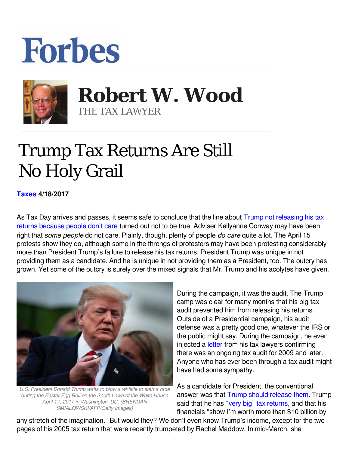## **Forbes**



 **Robert W. Wood** THE TAX LAWYER

## Trump Tax Returns Are Still No Holy Grail

**[Taxes](https://www.forbes.com/taxes) 4/18/2017** 

As Tax Day arrives and passes, it seems safe to conclude that the line about [Trump not releasing his tax](https://www.google.com/url?sa=t&rct=j&q=&esrc=s&source=web&cd=2&cad=rja&uact=8&ved=0ahUKEwjpsYmCtanTAhXE1IMKHeYIBDEQFggrMAE&url=https://www.washingtonpost.com/news/post-politics/wp/2017/01/22/trump-wont-release-his-tax-returns-because-people-dont-care-top-adviser-says/&usg=AFQjCNE1rCQh4vZkh9itLAEp-akRL4d1uQ&bvm=bv.152479541,d.amc) [returns because people don't care](https://www.google.com/url?sa=t&rct=j&q=&esrc=s&source=web&cd=2&cad=rja&uact=8&ved=0ahUKEwjpsYmCtanTAhXE1IMKHeYIBDEQFggrMAE&url=https://www.washingtonpost.com/news/post-politics/wp/2017/01/22/trump-wont-release-his-tax-returns-because-people-dont-care-top-adviser-says/&usg=AFQjCNE1rCQh4vZkh9itLAEp-akRL4d1uQ&bvm=bv.152479541,d.amc) turned out not to be true. Adviser Kellyanne Conway may have been right that *some people* do not care. Plainly, though, plenty of people *do care* quite a lot. The April 15 protests show they do, although some in the throngs of protesters may have been protesting considerably more than President Trump's failure to release his tax returns. President Trump was unique in not providing them as a candidate. And he is unique in not providing them as a President, too. The outcry has grown. Yet some of the outcry is surely over the mixed signals that Mr. Trump and his acolytes have given.



*U.S. President Donald Trump waits to blow a whistle to start a race during the Easter Egg Roll on the South Lawn of the White House April 17, 2017 in Washington, DC. (BRENDAN SMIALOWSKI/AFP/Getty Images)*

During the campaign, it was the audit. The Trump camp was clear for many months that his big tax audit prevented him from releasing his returns. Outside of a Presidential campaign, his audit defense was a pretty good one, whatever the IRS or the public might say. During the campaign, he even injected a [letter](https://www.donaldjtrump.com/press-releases/donald-j.-trumps-u.s.-federal-income-tax-returns) from his tax lawyers confirming there was an ongoing tax audit for 2009 and later. Anyone who has ever been through a tax audit might have had some sympathy.

As a candidate for President, the conventional answer was that [Trump should release them](https://www.google.com/url?sa=t&rct=j&q=&esrc=s&source=web&cd=1&cad=rja&uact=8&ved=0ahUKEwj7yqrHpZzLAhVU42MKHZyFD8YQFggcMAA&url=http://www.forbes.com/sites/taxanalysts/2016/02/26/forget-the-audit-trump-should-release-his-tax-returns-today/&usg=AFQjCNFWclEZeFpwd3rEGcFcOhUH77V-cQ&bvm=bv.115339255,d.cGc). Trump said that he has ["very big" tax returns,](http://www.usatoday.com/story/news/politics/onpolitics/2016/05/08/donald-trump-paul-ryan-jeb-bush-lindsey-graham-nbc-meet-the-press/84108754/) and that his financials "show I'm worth more than \$10 billion by

any stretch of the imagination." But would they? We don't even know Trump's income, except for the two pages of his 2005 tax return that were recently trumpeted by Rachel Maddow. In mid-March, she